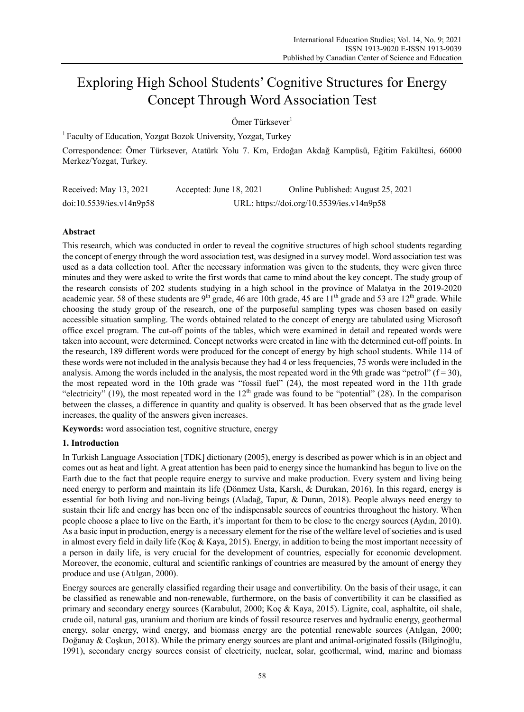# Exploring High School Students' Cognitive Structures for Energy Concept Through Word Association Test

Ömer Türksever<sup>1</sup>

<sup>1</sup> Faculty of Education, Yozgat Bozok University, Yozgat, Turkey

Correspondence: Ömer Türksever, Atatürk Yolu 7. Km, Erdoğan Akdağ Kampüsü, Eğitim Fakültesi, 66000 Merkez/Yozgat, Turkey.

| Received: May 13, 2021   | Accepted: June 18, 2021 | Online Published: August 25, 2021         |
|--------------------------|-------------------------|-------------------------------------------|
| doi:10.5539/ies.v14n9p58 |                         | URL: https://doi.org/10.5539/ies.v14n9p58 |

# **Abstract**

This research, which was conducted in order to reveal the cognitive structures of high school students regarding the concept of energy through the word association test, was designed in a survey model. Word association test was used as a data collection tool. After the necessary information was given to the students, they were given three minutes and they were asked to write the first words that came to mind about the key concept. The study group of the research consists of 202 students studying in a high school in the province of Malatya in the 2019-2020 academic year. 58 of these students are  $9<sup>th</sup>$  grade, 46 are 10th grade, 45 are 11<sup>th</sup> grade and 53 are 12<sup>th</sup> grade. While choosing the study group of the research, one of the purposeful sampling types was chosen based on easily accessible situation sampling. The words obtained related to the concept of energy are tabulated using Microsoft office excel program. The cut-off points of the tables, which were examined in detail and repeated words were taken into account, were determined. Concept networks were created in line with the determined cut-off points. In the research, 189 different words were produced for the concept of energy by high school students. While 114 of these words were not included in the analysis because they had 4 or less frequencies, 75 words were included in the analysis. Among the words included in the analysis, the most repeated word in the 9th grade was "petrol"  $(f = 30)$ , the most repeated word in the 10th grade was "fossil fuel" (24), the most repeated word in the 11th grade "electricity" (19), the most repeated word in the  $12<sup>th</sup>$  grade was found to be "potential" (28). In the comparison between the classes, a difference in quantity and quality is observed. It has been observed that as the grade level increases, the quality of the answers given increases.

**Keywords:** word association test, cognitive structure, energy

# **1. Introduction**

In Turkish Language Association [TDK] dictionary (2005), energy is described as power which is in an object and comes out as heat and light. A great attention has been paid to energy since the humankind has begun to live on the Earth due to the fact that people require energy to survive and make production. Every system and living being need energy to perform and maintain its life (Dönmez Usta, Karslı, & Durukan, 2016). In this regard, energy is essential for both living and non-living beings (Aladağ, Tapur, & Duran, 2018). People always need energy to sustain their life and energy has been one of the indispensable sources of countries throughout the history. When people choose a place to live on the Earth, it's important for them to be close to the energy sources (Aydın, 2010). As a basic input in production, energy is a necessary element for the rise of the welfare level of societies and is used in almost every field in daily life (Koç & Kaya, 2015). Energy, in addition to being the most important necessity of a person in daily life, is very crucial for the development of countries, especially for economic development. Moreover, the economic, cultural and scientific rankings of countries are measured by the amount of energy they produce and use (Atılgan, 2000).

Energy sources are generally classified regarding their usage and convertibility. On the basis of their usage, it can be classified as renewable and non-renewable, furthermore, on the basis of convertibility it can be classified as primary and secondary energy sources (Karabulut, 2000; Koç & Kaya, 2015). Lignite, coal, asphaltite, oil shale, crude oil, natural gas, uranium and thorium are kinds of fossil resource reserves and hydraulic energy, geothermal energy, solar energy, wind energy, and biomass energy are the potential renewable sources (Atılgan, 2000; Doğanay & Coşkun, 2018). While the primary energy sources are plant and animal-originated fossils (Bilginoğlu, 1991), secondary energy sources consist of electricity, nuclear, solar, geothermal, wind, marine and biomass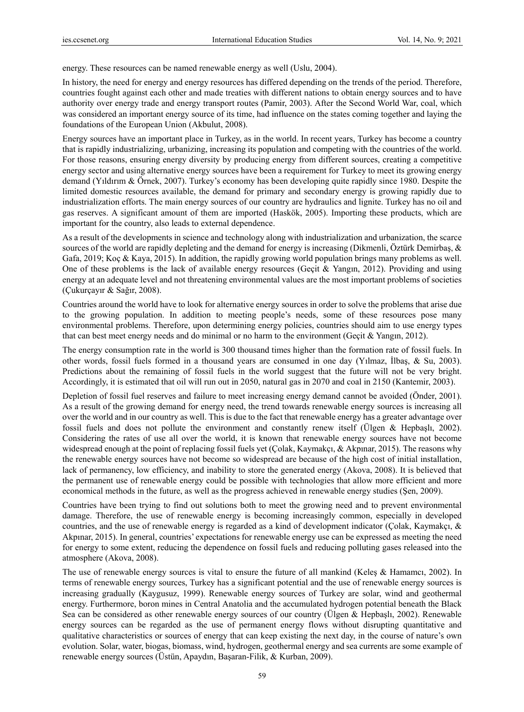energy. These resources can be named renewable energy as well (Uslu, 2004).

In history, the need for energy and energy resources has differed depending on the trends of the period. Therefore, countries fought against each other and made treaties with different nations to obtain energy sources and to have authority over energy trade and energy transport routes (Pamir, 2003). After the Second World War, coal, which was considered an important energy source of its time, had influence on the states coming together and laying the foundations of the European Union (Akbulut, 2008).

Energy sources have an important place in Turkey, as in the world. In recent years, Turkey has become a country that is rapidly industrializing, urbanizing, increasing its population and competing with the countries of the world. For those reasons, ensuring energy diversity by producing energy from different sources, creating a competitive energy sector and using alternative energy sources have been a requirement for Turkey to meet its growing energy demand (Yıldırım & Örnek, 2007). Turkey's economy has been developing quite rapidly since 1980. Despite the limited domestic resources available, the demand for primary and secondary energy is growing rapidly due to industrialization efforts. The main energy sources of our country are hydraulics and lignite. Turkey has no oil and gas reserves. A significant amount of them are imported (Haskök, 2005). Importing these products, which are important for the country, also leads to external dependence.

As a result of the developments in science and technology along with industrialization and urbanization, the scarce sources of the world are rapidly depleting and the demand for energy is increasing (Dikmenli, Öztürk Demirbaş, & Gafa, 2019; Koç & Kaya, 2015). In addition, the rapidly growing world population brings many problems as well. One of these problems is the lack of available energy resources (Geçit & Yangın, 2012). Providing and using energy at an adequate level and not threatening environmental values are the most important problems of societies (Çukurçayır & Sağır, 2008).

Countries around the world have to look for alternative energy sources in order to solve the problems that arise due to the growing population. In addition to meeting people's needs, some of these resources pose many environmental problems. Therefore, upon determining energy policies, countries should aim to use energy types that can best meet energy needs and do minimal or no harm to the environment (Geçit & Yangın, 2012).

The energy consumption rate in the world is 300 thousand times higher than the formation rate of fossil fuels. In other words, fossil fuels formed in a thousand years are consumed in one day (Yılmaz, İlbaş, & Su, 2003). Predictions about the remaining of fossil fuels in the world suggest that the future will not be very bright. Accordingly, it is estimated that oil will run out in 2050, natural gas in 2070 and coal in 2150 (Kantemir, 2003).

Depletion of fossil fuel reserves and failure to meet increasing energy demand cannot be avoided (Önder, 2001). As a result of the growing demand for energy need, the trend towards renewable energy sources is increasing all over the world and in our country as well. This is due to the fact that renewable energy has a greater advantage over fossil fuels and does not pollute the environment and constantly renew itself (Ülgen & Hepbaşlı, 2002). Considering the rates of use all over the world, it is known that renewable energy sources have not become widespread enough at the point of replacing fossil fuels yet (Çolak, Kaymakçı, & Akpınar, 2015). The reasons why the renewable energy sources have not become so widespread are because of the high cost of initial installation, lack of permanency, low efficiency, and inability to store the generated energy (Akova, 2008). It is believed that the permanent use of renewable energy could be possible with technologies that allow more efficient and more economical methods in the future, as well as the progress achieved in renewable energy studies (Şen, 2009).

Countries have been trying to find out solutions both to meet the growing need and to prevent environmental damage. Therefore, the use of renewable energy is becoming increasingly common, especially in developed countries, and the use of renewable energy is regarded as a kind of development indicator (Çolak, Kaymakçı, & Akpınar, 2015). In general, countries' expectations for renewable energy use can be expressed as meeting the need for energy to some extent, reducing the dependence on fossil fuels and reducing polluting gases released into the atmosphere (Akova, 2008).

The use of renewable energy sources is vital to ensure the future of all mankind (Keleş & Hamamcı, 2002). In terms of renewable energy sources, Turkey has a significant potential and the use of renewable energy sources is increasing gradually (Kaygusuz, 1999). Renewable energy sources of Turkey are solar, wind and geothermal energy. Furthermore, boron mines in Central Anatolia and the accumulated hydrogen potential beneath the Black Sea can be considered as other renewable energy sources of our country (Ülgen & Hepbaşlı, 2002). Renewable energy sources can be regarded as the use of permanent energy flows without disrupting quantitative and qualitative characteristics or sources of energy that can keep existing the next day, in the course of nature's own evolution. Solar, water, biogas, biomass, wind, hydrogen, geothermal energy and sea currents are some example of renewable energy sources (Üstün, Apaydın, Başaran-Filik, & Kurban, 2009).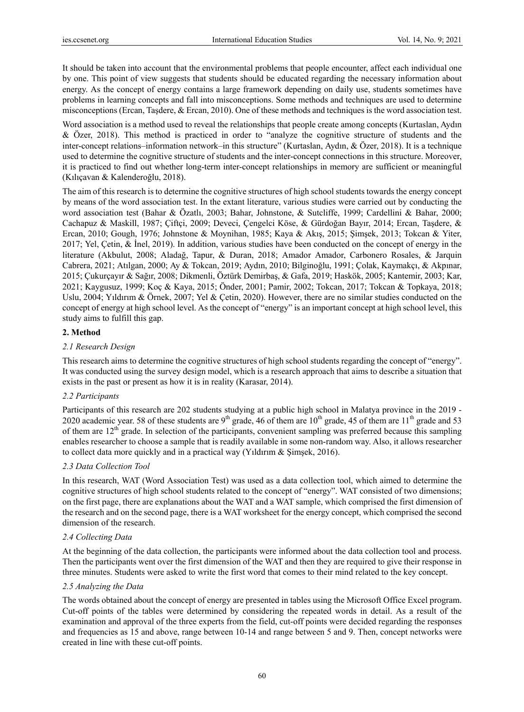It should be taken into account that the environmental problems that people encounter, affect each individual one by one. This point of view suggests that students should be educated regarding the necessary information about energy. As the concept of energy contains a large framework depending on daily use, students sometimes have problems in learning concepts and fall into misconceptions. Some methods and techniques are used to determine misconceptions (Ercan, Taşdere, & Ercan, 2010). One of these methods and techniques is the word association test.

Word association is a method used to reveal the relationships that people create among concepts (Kurtaslan, Aydın & Özer, 2018). This method is practiced in order to "analyze the cognitive structure of students and the inter-concept relations–information network–in this structure" (Kurtaslan, Aydın, & Özer, 2018). It is a technique used to determine the cognitive structure of students and the inter-concept connections in this structure. Moreover, it is practiced to find out whether long-term inter-concept relationships in memory are sufficient or meaningful (Kılıçavan & Kalenderoğlu, 2018).

The aim of this research is to determine the cognitive structures of high school students towards the energy concept by means of the word association test. In the extant literature, various studies were carried out by conducting the word association test (Bahar & Özatlı, 2003; Bahar, Johnstone, & Sutcliffe, 1999; Cardellini & Bahar, 2000; Cachapuz & Maskill, 1987; Çiftçi, 2009; Deveci, Çengelci Köse, & Gürdoğan Bayır, 2014; Ercan, Taşdere, & Ercan, 2010; Gough, 1976; Johnstone & Moynihan, 1985; Kaya & Akış, 2015; Şimşek, 2013; Tokcan & Yiter, 2017; Yel, Çetin, & İnel, 2019). In addition, various studies have been conducted on the concept of energy in the literature (Akbulut, 2008; Aladağ, Tapur, & Duran, 2018; Amador Amador, Carbonero Rosales, & Jarquin Cabrera, 2021; Atılgan, 2000; Ay & Tokcan, 2019; Aydın, 2010; Bilginoğlu, 1991; Çolak, Kaymakçı, & Akpınar, 2015; Çukurçayır & Sağır, 2008; Dikmenli, Öztürk Demirbaş, & Gafa, 2019; Haskök, 2005; Kantemir, 2003; Kar, 2021; Kaygusuz, 1999; Koç & Kaya, 2015; Önder, 2001; Pamir, 2002; Tokcan, 2017; Tokcan & Topkaya, 2018; Uslu, 2004; Yıldırım & Örnek, 2007; Yel & Çetin, 2020). However, there are no similar studies conducted on the concept of energy at high school level. As the concept of "energy" is an important concept at high school level, this study aims to fulfill this gap.

## **2. Method**

## *2.1 Research Design*

This research aims to determine the cognitive structures of high school students regarding the concept of "energy". It was conducted using the survey design model, which is a research approach that aims to describe a situation that exists in the past or present as how it is in reality (Karasar, 2014).

#### *2.2 Participants*

Participants of this research are 202 students studying at a public high school in Malatya province in the 2019 - 2020 academic year. 58 of these students are 9<sup>th</sup> grade, 46 of them are  $10^{th}$  grade, 45 of them are  $11^{th}$  grade and 53 of them are  $12<sup>th</sup>$  grade. In selection of the participants, convenient sampling was preferred because this sampling enables researcher to choose a sample that is readily available in some non-random way. Also, it allows researcher to collect data more quickly and in a practical way (Yıldırım & Şimşek, 2016).

## *2.3 Data Collection Tool*

In this research, WAT (Word Association Test) was used as a data collection tool, which aimed to determine the cognitive structures of high school students related to the concept of "energy". WAT consisted of two dimensions; on the first page, there are explanations about the WAT and a WAT sample, which comprised the first dimension of the research and on the second page, there is a WAT worksheet for the energy concept, which comprised the second dimension of the research.

#### *2.4 Collecting Data*

At the beginning of the data collection, the participants were informed about the data collection tool and process. Then the participants went over the first dimension of the WAT and then they are required to give their response in three minutes. Students were asked to write the first word that comes to their mind related to the key concept.

#### *2.5 Analyzing the Data*

The words obtained about the concept of energy are presented in tables using the Microsoft Office Excel program. Cut-off points of the tables were determined by considering the repeated words in detail. As a result of the examination and approval of the three experts from the field, cut-off points were decided regarding the responses and frequencies as 15 and above, range between 10-14 and range between 5 and 9. Then, concept networks were created in line with these cut-off points.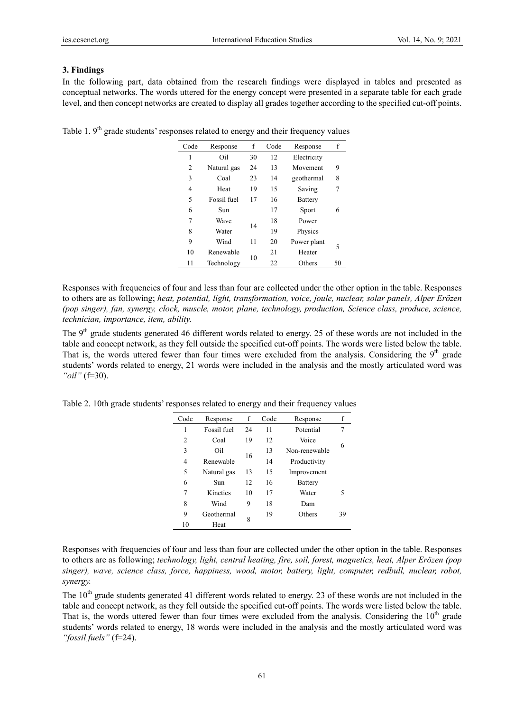## **3. Findings**

In the following part, data obtained from the research findings were displayed in tables and presented as conceptual networks. The words uttered for the energy concept were presented in a separate table for each grade level, and then concept networks are created to display all grades together according to the specified cut-off points.

| Code | Response    | f  | Code | Response       | f  |
|------|-------------|----|------|----------------|----|
| 1    | Oil         | 30 | 12   | Electricity    |    |
| 2    | Natural gas | 24 | 13   | Movement       | 9  |
| 3    | Coal        | 23 | 14   | geothermal     | 8  |
| 4    | Heat        | 19 | 15   | Saving         | 7  |
| 5    | Fossil fuel | 17 | 16   | <b>Battery</b> |    |
| 6    | Sun         |    | 17   | Sport          | 6  |
| 7    | Wave        | 14 | 18   | Power          |    |
| 8    | Water       |    | 19   | Physics        |    |
| 9    | Wind        | 11 | 20   | Power plant    | 5  |
| 10   | Renewable   | 10 | 21   | Heater         |    |
| 11   | Technology  |    | 22   | Others         | 50 |

Table 1.  $9<sup>th</sup>$  grade students' responses related to energy and their frequency values

Responses with frequencies of four and less than four are collected under the other option in the table. Responses to others are as following; *heat, potential, light, transformation, voice, joule, nuclear, solar panels, Alper Erözen (pop singer), fan, synergy, clock, muscle, motor, plane, technology, production, Science class, produce, science, technician, importance, item, ability.* 

The 9<sup>th</sup> grade students generated 46 different words related to energy. 25 of these words are not included in the table and concept network, as they fell outside the specified cut-off points. The words were listed below the table. That is, the words uttered fewer than four times were excluded from the analysis. Considering the  $9<sup>th</sup>$  grade students' words related to energy, 21 words were included in the analysis and the mostly articulated word was *"oil"* (f=30).

| Code | Response    | f  | Code | Response      | f  |
|------|-------------|----|------|---------------|----|
| 1    | Fossil fuel | 24 | 11   | Potential     | 7  |
| 2    | Coal        | 19 | 12   | Voice         | 6  |
| 3    | Oil         | 16 | 13   | Non-renewable |    |
| 4    | Renewable   |    | 14   | Productivity  |    |
| 5    | Natural gas | 13 | 15   | Improvement   |    |
| 6    | Sun         | 12 | 16   | Battery       |    |
| 7    | Kinetics    | 10 | 17   | Water         | 5  |
| 8    | Wind        | 9  | 18   | Dam           |    |
| 9    | Geothermal  | 8  | 19   | Others        | 39 |
| 10   | Heat        |    |      |               |    |

Table 2. 10th grade students' responses related to energy and their frequency values

Responses with frequencies of four and less than four are collected under the other option in the table. Responses to others are as following; *technology, light, central heating, fire, soil, forest, magnetics, heat, Alper Erözen (pop singer), wave, science class, force, happiness, wood, motor, battery, light, computer, redbull, nuclear, robot, synergy.* 

The  $10<sup>th</sup>$  grade students generated 41 different words related to energy. 23 of these words are not included in the table and concept network, as they fell outside the specified cut-off points. The words were listed below the table. That is, the words uttered fewer than four times were excluded from the analysis. Considering the  $10<sup>th</sup>$  grade students' words related to energy, 18 words were included in the analysis and the mostly articulated word was *"fossil fuels"* (f=24).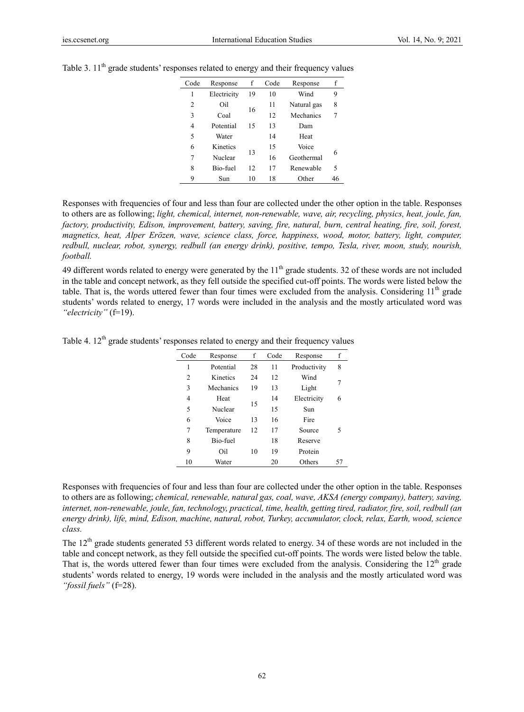| Code | Response    | f  | Code | Response    | f  |
|------|-------------|----|------|-------------|----|
| 1    | Electricity | 19 | 10   | Wind        | 9  |
| 2    | Oil         | 16 | 11   | Natural gas | 8  |
| 3    | Coal        |    | 12   | Mechanics   |    |
| 4    | Potential   | 15 | 13   | Dam         |    |
| 5    | Water       |    | 14   | Heat        |    |
| 6    | Kinetics    | 13 | 15   | Voice       | 6  |
| 7    | Nuclear     |    | 16   | Geothermal  |    |
| 8    | Bio-fuel    | 12 | 17   | Renewable   | 5  |
| 9    | Sun         | 10 | 18   | Other       | 46 |
|      |             |    |      |             |    |

Table 3.  $11<sup>th</sup>$  grade students' responses related to energy and their frequency values

Responses with frequencies of four and less than four are collected under the other option in the table. Responses to others are as following; *light, chemical, internet, non-renewable, wave, air, recycling, physics, heat, joule, fan, factory, productivity, Edison, improvement, battery, saving, fire, natural, burn, central heating, fire, soil, forest, magnetics, heat, Alper Erözen, wave, science class, force, happiness, wood, motor, battery, light, computer, redbull, nuclear, robot, synergy, redbull (an energy drink), positive, tempo, Tesla, river, moon, study, nourish, football.* 

49 different words related to energy were generated by the  $11<sup>th</sup>$  grade students. 32 of these words are not included in the table and concept network, as they fell outside the specified cut-off points. The words were listed below the table. That is, the words uttered fewer than four times were excluded from the analysis. Considering  $11<sup>th</sup>$  grade students' words related to energy, 17 words were included in the analysis and the mostly articulated word was *"electricity"* (f=19).

Table 4.  $12^{th}$  grade students' responses related to energy and their frequency values

| Code           | Response    | f  | Code | Response     | f  |
|----------------|-------------|----|------|--------------|----|
| 1              | Potential   | 28 | 11   | Productivity | 8  |
| $\overline{c}$ | Kinetics    | 24 | 12   | Wind         | 7  |
| 3              | Mechanics   | 19 | 13   | Light        |    |
| 4              | Heat        |    | 14   | Electricity  | 6  |
| 5              | Nuclear     | 15 | 15   | Sun          |    |
| 6              | Voice       | 13 | 16   | Fire         |    |
| 7              | Temperature | 12 | 17   | Source       | 5  |
| 8              | Bio-fuel    |    | 18   | Reserve      |    |
| 9              | Oil         | 10 | 19   | Protein      |    |
| 10             | Water       |    | 20   | Others       | 57 |

Responses with frequencies of four and less than four are collected under the other option in the table. Responses to others are as following; *chemical, renewable, natural gas, coal, wave, AKSA (energy company), battery, saving, internet, non-renewable, joule, fan, technology, practical, time, health, getting tired, radiator, fire, soil, redbull (an energy drink), life, mind, Edison, machine, natural, robot, Turkey, accumulator, clock, relax, Earth, wood, science class.* 

The  $12<sup>th</sup>$  grade students generated 53 different words related to energy. 34 of these words are not included in the table and concept network, as they fell outside the specified cut-off points. The words were listed below the table. That is, the words uttered fewer than four times were excluded from the analysis. Considering the  $12<sup>th</sup>$  grade students' words related to energy, 19 words were included in the analysis and the mostly articulated word was *"fossil fuels"* (f=28).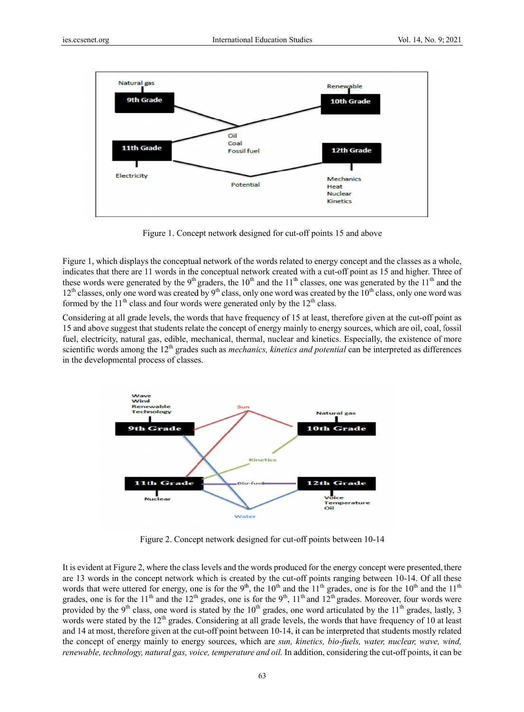

Figure 1. Concept network designed for cut-off points 15 and above

Figure 1, which displays the conceptual network of the words related to energy concept and the classes as a whole, indicates that there are 11 words in the conceptual network created with a cut-off point as 15 and higher. Three of these words were generated by the 9<sup>th</sup> graders, the 10<sup>th</sup> and the 11<sup>th</sup> classes, one was generated by the 11<sup>th</sup> and the  $12<sup>th</sup>$  classes, only one word was created by  $9<sup>th</sup>$  class, only one word was created by the  $10<sup>th</sup>$  class, only one word was formed by the  $11<sup>th</sup>$  class and four words were generated only by the  $12<sup>th</sup>$  class.

Considering at all grade levels, the words that have frequency of 15 at least, therefore given at the cut-off point as 15 and above suggest that students relate the concept of energy mainly to energy sources, which are oil, coal, fossil fuel, electricity, natural gas, edible, mechanical, thermal, nuclear and kinetics. Especially, the existence of more scientific words among the 12<sup>th</sup> grades such as *mechanics, kinetics and potential* can be interpreted as differences in the developmental process of classes.



Figure 2. Concept network designed for cut-off points between 10-14

It is evident at Figure 2, where the class levels and the words produced for the energy concept were presented, there are 13 words in the concept network which is created by the cut-off points ranging between 10-14. Of all these words that were uttered for energy, one is for the 9<sup>th</sup>, the 10<sup>th</sup> and the 11<sup>th</sup> grades, one is for the 10<sup>th</sup> and the 11<sup>th</sup> grades, one is for the 11<sup>th</sup> and the 12<sup>th</sup> grades, one is for the 9<sup>th</sup>, 11<sup>th</sup> and 12<sup>th</sup> grades. Moreover, four words were provided by the 9<sup>th</sup> class, one word is stated by the  $10^{th}$  grades, one word articulated by the  $11^{th}$  grades, lastly, 3 words were stated by the  $12<sup>th</sup>$  grades. Considering at all grade levels, the words that have frequency of 10 at least and 14 at most, therefore given at the cut-off point between 10-14, it can be interpreted that students mostly related the concept of energy mainly to energy sources, which are *sun, kinetics, bio-fuels, water, nuclear, wave, wind,* renewable, technology, natural gas, voice, temperature and oil. In addition, considering the cut-off points, it can be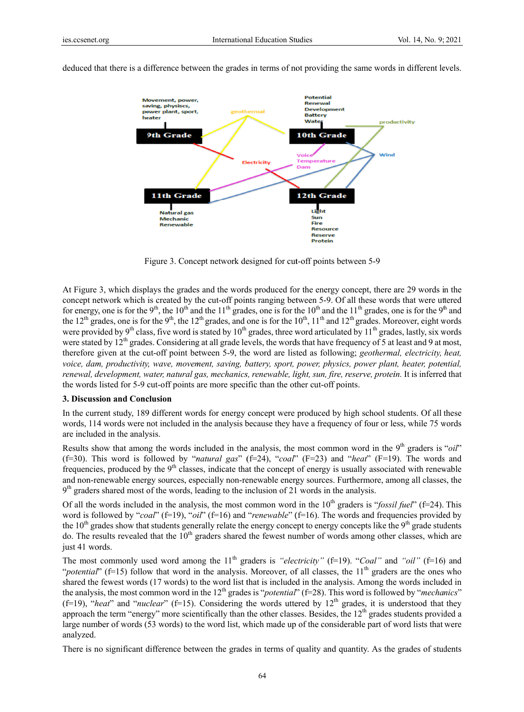

deduced that there is a difference between the grades in terms of not providing the same words in different levels.

Figure 3. Concept network designed for cut-off points between 5-9

At Figure 3, which displays the grades and the words produced for the energy concept, there are 29 words in the concept network which is created by the cut-off points ranging between 5-9. Of all these words that were uttered for energy, one is for the 9<sup>th</sup>, the 10<sup>th</sup> and the 11<sup>th</sup> grades, one is for the 10<sup>th</sup> and the 11<sup>th</sup> grades, one is for the 9<sup>th</sup> and the 12<sup>th</sup> grades, one is for the 9<sup>th</sup>, the 12<sup>th</sup> grades, and one is for the 10<sup>th</sup>, 11<sup>th</sup> and 12<sup>th</sup> grades. Moreover, eight words were provided by 9<sup>th</sup> class, five word is stated by  $10^{th}$  grades, three word articulated by  $11^{th}$  grades, lastly, six words were stated by  $12^{th}$  grades. Considering at all grade levels, the words that have frequency of 5 at least and 9 at most, therefore given at the cut-off point between 5-9, the word are listed as following; *geothermal, electricity, heat, voice, dam, productivity, wave, movement, saving, battery, sport, power, physics, power plant, heater, potential, renewal, d development, w water, natural g gas, mechanics s, renewable, li ight, sun, fire, r reserve, protei in.* It is inferred d that the words listed for 5-9 cut-off points are more specific than the other cut-off points.

#### **3. Discussion and Conclusion**

In the current study, 189 different words for energy concept were produced by high school students. Of all these words, 114 words were not included in the analysis because they have a frequency of four or less, while 75 words are included in the analysis.

Results show that among the words included in the analysis, the most common word in the 9<sup>th</sup> graders is "*oil*" (f=30). This word is followed by "*natural gas*" (f=24), "*coal*" (F=23) and "*heat*" (F=19). The words and frequencies, produced by the 9<sup>th</sup> classes, indicate that the concept of energy is usually associated with renewable and non-renewable energy sources, especially non-renewable energy sources. Furthermore, among all classes, the 9<sup>th</sup> graders shared most of the words, leading to the inclusion of 21 words in the analysis.

Of all the words included in the analysis, the most common word in the 10<sup>th</sup> graders is "*fossil fuel*" (f=24). This word is followed by "*coal*" (f=19), "*oil*" (f=16) and "*renewable*" (f=16). The words and frequencies provided by the  $10^{th}$  grades show that students generally relate the energy concept to energy concepts like the  $9^{th}$  grade students do. The results revealed that the  $10^{th}$  graders shared the fewest number of words among other classes, which are just 41 words.

The most commonly used word among the  $11<sup>th</sup>$  graders is *"electricity"* (f=19). "*Coal"* and "*oil"* (f=16) and "*potential*" (f=15) follow that word in the analysis. Moreover, of all classes, the  $11<sup>th</sup>$  graders are the ones who shared the fewest words (17 words) to the word list that is included in the analysis. Among the words included in the analysis, the most common word in the 12<sup>th</sup> grades is "*potential*" (f=28). This word is followed by "*mechanics*" (f=19), "*heat*" and "*nuclear*" (f=15). Considering the words uttered by  $12<sup>th</sup>$  grades, it is understood that they approach the term "energy" more scientifically than the other classes. Besides, the  $12<sup>th</sup>$  grades students provided a large number of words (53 words) to the word list, which made up of the considerable part of word lists that were analyzed.

There is no significant difference between the grades in terms of quality and quantity. As the grades of students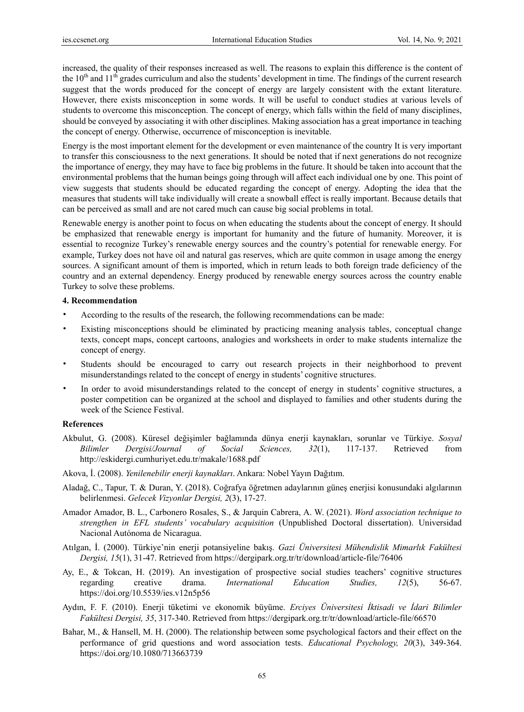increased, the quality of their responses increased as well. The reasons to explain this difference is the content of the  $10<sup>th</sup>$  and  $11<sup>th</sup>$  grades curriculum and also the students' development in time. The findings of the current research suggest that the words produced for the concept of energy are largely consistent with the extant literature. However, there exists misconception in some words. It will be useful to conduct studies at various levels of students to overcome this misconception. The concept of energy, which falls within the field of many disciplines, should be conveyed by associating it with other disciplines. Making association has a great importance in teaching the concept of energy. Otherwise, occurrence of misconception is inevitable.

Energy is the most important element for the development or even maintenance of the country It is very important to transfer this consciousness to the next generations. It should be noted that if next generations do not recognize the importance of energy, they may have to face big problems in the future. It should be taken into account that the environmental problems that the human beings going through will affect each individual one by one. This point of view suggests that students should be educated regarding the concept of energy. Adopting the idea that the measures that students will take individually will create a snowball effect is really important. Because details that can be perceived as small and are not cared much can cause big social problems in total.

Renewable energy is another point to focus on when educating the students about the concept of energy. It should be emphasized that renewable energy is important for humanity and the future of humanity. Moreover, it is essential to recognize Turkey's renewable energy sources and the country's potential for renewable energy. For example, Turkey does not have oil and natural gas reserves, which are quite common in usage among the energy sources. A significant amount of them is imported, which in return leads to both foreign trade deficiency of the country and an external dependency. Energy produced by renewable energy sources across the country enable Turkey to solve these problems.

#### **4. Recommendation**

- According to the results of the research, the following recommendations can be made:
- Existing misconceptions should be eliminated by practicing meaning analysis tables, conceptual change texts, concept maps, concept cartoons, analogies and worksheets in order to make students internalize the concept of energy.
- Students should be encouraged to carry out research projects in their neighborhood to prevent misunderstandings related to the concept of energy in students' cognitive structures.
- In order to avoid misunderstandings related to the concept of energy in students' cognitive structures, a poster competition can be organized at the school and displayed to families and other students during the week of the Science Festival.

#### **References**

- Akbulut, G. (2008). Küresel değişimler bağlamında dünya enerji kaynakları, sorunlar ve Türkiye. *Sosyal Bilimler Dergisi/Journal of Social Sciences, 32*(1), 117-137. Retrieved from http://eskidergi.cumhuriyet.edu.tr/makale/1688.pdf
- Akova, İ. (2008). *Yenilenebilir enerji kaynakları*. Ankara: Nobel Yayın Dağıtım.
- Aladağ, C., Tapur, T. & Duran, Y. (2018). Coğrafya öğretmen adaylarının güneş enerjisi konusundaki algılarının belirlenmesi. *Gelecek Vizyonlar Dergisi, 2*(3), 17-27.
- Amador Amador, B. L., Carbonero Rosales, S., & Jarquin Cabrera, A. W. (2021). *Word association technique to strengthen in EFL students' vocabulary acquisition* (Unpublished Doctoral dissertation). Universidad Nacional Autónoma de Nicaragua.
- Atılgan, İ. (2000). Türkiye'nin enerji potansiyeline bakış. *Gazi Üniversitesi Mühendislik Mimarlık Fakültesi Dergisi, 15*(1), 31-47. Retrieved from https://dergipark.org.tr/tr/download/article-file/76406
- Ay, E., & Tokcan, H. (2019). An investigation of prospective social studies teachers' cognitive structures regarding creative drama. *International Education Studies, 12*(5), 56-67. https://doi.org/10.5539/ies.v12n5p56
- Aydın, F. F. (2010). Enerji tüketimi ve ekonomik büyüme. *Erciyes Üniversitesi İktisadi ve İdari Bilimler Fakültesi Dergisi, 35*, 317-340. Retrieved from https://dergipark.org.tr/tr/download/article-file/66570
- Bahar, M., & Hansell, M. H. (2000). The relationship between some psychological factors and their effect on the performance of grid questions and word association tests. *Educational Psychology, 20*(3), 349-364. https://doi.org/10.1080/713663739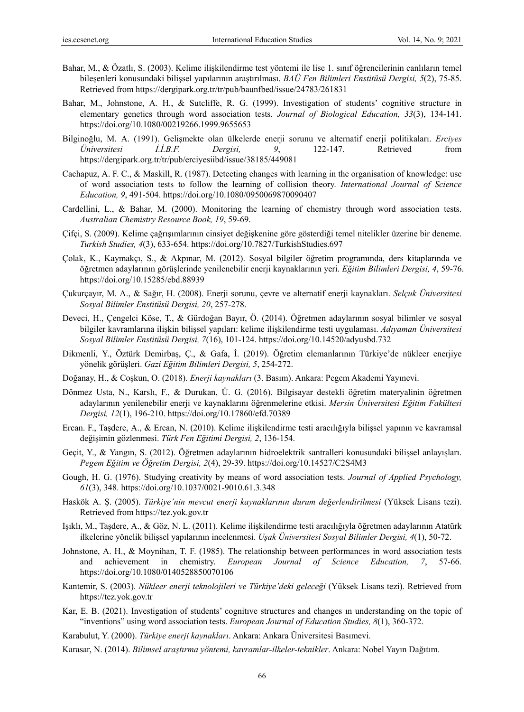- Bahar, M., & Özatlı, S. (2003). Kelime ilişkilendirme test yöntemi ile lise 1. sınıf öğrencilerinin canlıların temel bileşenleri konusundaki bilişsel yapılarının araştırılması. *BAÜ Fen Bilimleri Enstitüsü Dergisi, 5*(2), 75-85. Retrieved from https://dergipark.org.tr/tr/pub/baunfbed/issue/24783/261831
- Bahar, M., Johnstone, A. H., & Sutcliffe, R. G. (1999). Investigation of students' cognitive structure in elementary genetics through word association tests. *Journal of Biological Education, 33*(3), 134-141. https://doi.org/10.1080/00219266.1999.9655653
- Bilginoğlu, M. A. (1991). Gelişmekte olan ülkelerde enerji sorunu ve alternatif enerji politikaları. *Erciyes Üniversitesi İ.İ.B.F. Dergisi, 9*, 122-147. Retrieved from https://dergipark.org.tr/tr/pub/erciyesiibd/issue/38185/449081
- Cachapuz, A. F. C., & Maskill, R. (1987). Detecting changes with learning in the organisation of knowledge: use of word association tests to follow the learning of collision theory. *International Journal of Science Education, 9*, 491-504. https://doi.org/10.1080/0950069870090407
- Cardellini, L., & Bahar, M. (2000). Monitoring the learning of chemistry through word association tests. *Australian Chemistry Resource Book, 19*, 59-69.
- Çifçi, S. (2009). Kelime çağrışımlarının cinsiyet değişkenine göre gösterdiği temel nitelikler üzerine bir deneme. *Turkish Studies, 4*(3), 633-654. https://doi.org/10.7827/TurkishStudies.697
- Çolak, K., Kaymakçı, S., & Akpınar, M. (2012). Sosyal bilgiler öğretim programında, ders kitaplarında ve öğretmen adaylarının görüşlerinde yenilenebilir enerji kaynaklarının yeri. *Eğitim Bilimleri Dergisi, 4*, 59-76. https://doi.org/10.15285/ebd.88939
- Çukurçayır, M. A., & Sağır, H. (2008). Enerji sorunu, çevre ve alternatif enerji kaynakları. *Selçuk Üniversitesi Sosyal Bilimler Enstitüsü Dergisi, 20*, 257-278.
- Deveci, H., Çengelci Köse, T., & Gürdoğan Bayır, Ö. (2014). Öğretmen adaylarının sosyal bilimler ve sosyal bilgiler kavramlarına ilişkin bilişsel yapıları: kelime ilişkilendirme testi uygulaması. *Adıyaman Üniversitesi Sosyal Bilimler Enstitüsü Dergisi, 7*(16), 101-124. https://doi.org/10.14520/adyusbd.732
- Dikmenli, Y., Öztürk Demirbaş, Ç., & Gafa, İ. (2019). Öğretim elemanlarının Türkiye'de nükleer enerjiye yönelik görüşleri. *Gazi Eğitim Bilimleri Dergisi, 5*, 254-272.
- Doğanay, H., & Coşkun, O. (2018). *Enerji kaynakları* (3. Basım). Ankara: Pegem Akademi Yayınevi.
- Dönmez Usta, N., Karslı, F., & Durukan, Ü. G. (2016). Bilgisayar destekli öğretim materyalinin öğretmen adaylarının yenilenebilir enerji ve kaynaklarını öğrenmelerine etkisi. *Mersin Üniversitesi Eğitim Fakültesi Dergisi, 12*(1), 196-210. https://doi.org/10.17860/efd.70389
- Ercan. F., Taşdere, A., & Ercan, N. (2010). Kelime ilişkilendirme testi aracılığıyla bilişsel yapının ve kavramsal değişimin gözlenmesi. *Türk Fen Eğitimi Dergisi, 2*, 136-154.
- Geçit, Y., & Yangın, S. (2012). Öğretmen adaylarının hidroelektrik santralleri konusundaki bilişsel anlayışları. *Pegem Eğitim ve Öğretim Dergisi, 2*(4), 29-39. https://doi.org/10.14527/C2S4M3
- Gough, H. G. (1976). Studying creativity by means of word association tests. *Journal of Applied Psychology, 61*(3), 348. https://doi.org/10.1037/0021-9010.61.3.348
- Haskök A. Ş. (2005). *Türkiye'nin mevcut enerji kaynaklarının durum değerlendirilmesi* (Yüksek Lisans tezi). Retrieved from https://tez.yok.gov.tr
- Işıklı, M., Taşdere, A., & Göz, N. L. (2011). Kelime ilişkilendirme testi aracılığıyla öğretmen adaylarının Atatürk ilkelerine yönelik bilişsel yapılarının incelenmesi. *Uşak Üniversitesi Sosyal Bilimler Dergisi, 4*(1), 50-72.
- Johnstone, A. H., & Moynihan, T. F. (1985). The relationship between performances in word association tests and achievement in chemistry. *European Journal of Science Education, 7*, 57-66. https://doi.org/10.1080/0140528850070106
- Kantemir, S. (2003). *Nükleer enerji teknolojileri ve Türkiye'deki geleceği* (Yüksek Lisans tezi). Retrieved from https://tez.yok.gov.tr
- Kar, E. B. (2021). Investigation of students' cognitıve structures and changes ın understanding on the topic of "inventions" using word association tests. *European Journal of Education Studies, 8*(1), 360-372.
- Karabulut, Y. (2000). *Türkiye enerji kaynakları*. Ankara: Ankara Üniversitesi Basımevi.
- Karasar, N. (2014). *Bilimsel araştırma yöntemi, kavramlar-ilkeler-teknikler*. Ankara: Nobel Yayın Dağıtım.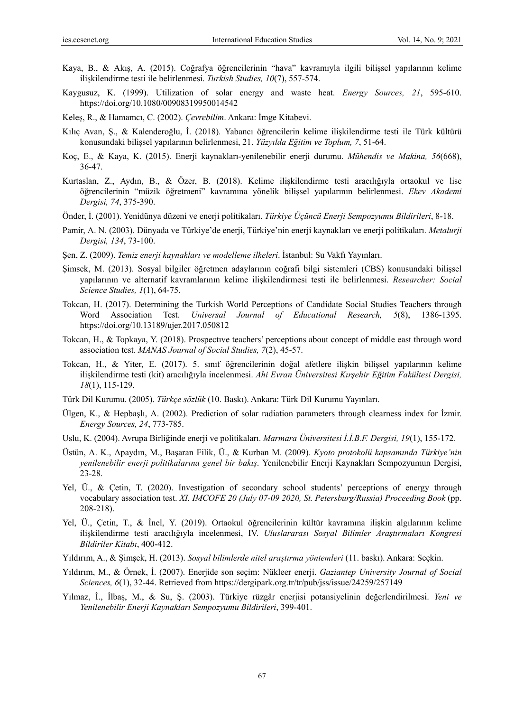- Kaya, B., & Akış, A. (2015). Coğrafya öğrencilerinin "hava" kavramıyla ilgili bilişsel yapılarının kelime ilişkilendirme testi ile belirlenmesi. *Turkish Studies, 10*(7), 557-574.
- Kaygusuz, K. (1999). Utilization of solar energy and waste heat. *Energy Sources, 21*, 595-610. https://doi.org/10.1080/00908319950014542
- Keleş, R., & Hamamcı, C. (2002). *Çevrebilim*. Ankara: İmge Kitabevi.
- Kılıç Avan, Ş., & Kalenderoğlu, İ. (2018). Yabancı öğrencilerin kelime ilişkilendirme testi ile Türk kültürü konusundaki bilişsel yapılarının belirlenmesi, 21. *Yüzyılda Eğitim ve Toplum, 7*, 51-64.
- Koç, E., & Kaya, K. (2015). Enerji kaynakları-yenilenebilir enerji durumu. *Mühendis ve Makina, 56*(668), 36-47.
- Kurtaslan, Z., Aydın, B., & Özer, B. (2018). Kelime ilişkilendirme testi aracılığıyla ortaokul ve lise öğrencilerinin "müzik öğretmeni" kavramına yönelik bilişsel yapılarının belirlenmesi. *Ekev Akademi Dergisi, 74*, 375-390.
- Önder, İ. (2001). Yenidünya düzeni ve enerji politikaları. *Türkiye Üçüncü Enerji Sempozyumu Bildirileri*, 8-18.
- Pamir, A. N. (2003). Dünyada ve Türkiye'de enerji, Türkiye'nin enerji kaynakları ve enerji politikaları. *Metalurji Dergisi, 134*, 73-100.
- Şen, Z. (2009). *Temiz enerji kaynakları ve modelleme ilkeleri*. İstanbul: Su Vakfı Yayınları.
- Şimsek, M. (2013). Sosyal bilgiler öğretmen adaylarının coğrafi bilgi sistemleri (CBS) konusundaki bilişsel yapılarının ve alternatif kavramlarının kelime ilişkilendirmesi testi ile belirlenmesi. *Researcher: Social Science Studies, 1*(1), 64-75.
- Tokcan, H. (2017). Determining the Turkish World Perceptions of Candidate Social Studies Teachers through Word Association Test. *Universal Journal of Educational Research, 5*(8), 1386-1395. https://doi.org/10.13189/ujer.2017.050812
- Tokcan, H., & Topkaya, Y. (2018). Prospectıve teachers' perceptions about concept of middle east through word association test. *MANAS Journal of Social Studies, 7*(2), 45-57.
- Tokcan, H., & Yiter, E. (2017). 5. sınıf öğrencilerinin doğal afetlere ilişkin bilişsel yapılarının kelime ilişkilendirme testi (kit) aracılığıyla incelenmesi. *Ahi Evran Üniversitesi Kırşehir Eğitim Fakültesi Dergisi, 18*(1), 115-129.
- Türk Dil Kurumu. (2005). *Türkçe sözlük* (10. Baskı). Ankara: Türk Dil Kurumu Yayınları.
- Ülgen, K., & Hepbaşlı, A. (2002). Prediction of solar radiation parameters through clearness index for İzmir. *Energy Sources, 24*, 773-785.
- Uslu, K. (2004). Avrupa Birliğinde enerji ve politikaları. *Marmara Üniversitesi İ.İ.B.F. Dergisi, 19*(1), 155-172.
- Üstün, A. K., Apaydın, M., Başaran Filik, Ü., & Kurban M. (2009). *Kyoto protokolü kapsamında Türkiye'nin yenilenebilir enerji politikalarına genel bir bakış*. Yenilenebilir Enerji Kaynakları Sempozyumun Dergisi, 23-28.
- Yel, Ü., & Çetin, T. (2020). Investigation of secondary school students' perceptions of energy through vocabulary association test. *XI. IMCOFE 20 (July 07-09 2020, St. Petersburg/Russia) Proceeding Book* (pp. 208-218).
- Yel, Ü., Çetin, T., & İnel, Y. (2019). Ortaokul öğrencilerinin kültür kavramına ilişkin algılarının kelime ilişkilendirme testi aracılığıyla incelenmesi, IV. *Uluslararası Sosyal Bilimler Araştırmaları Kongresi Bildiriler Kitabı*, 400-412.
- Yıldırım, A., & Şimşek, H. (2013). *Sosyal bilimlerde nitel araştırma yöntemleri* (11. baskı). Ankara: Seçkin.
- Yıldırım, M., & Örnek, İ. (2007). Enerjide son seçim: Nükleer enerji. *Gaziantep University Journal of Social Sciences, 6*(1), 32-44. Retrieved from https://dergipark.org.tr/tr/pub/jss/issue/24259/257149
- Yılmaz, İ., İlbaş, M., & Su, Ş. (2003). Türkiye rüzgâr enerjisi potansiyelinin değerlendirilmesi. *Yeni ve Yenilenebilir Enerji Kaynakları Sempozyumu Bildirileri*, 399-401.